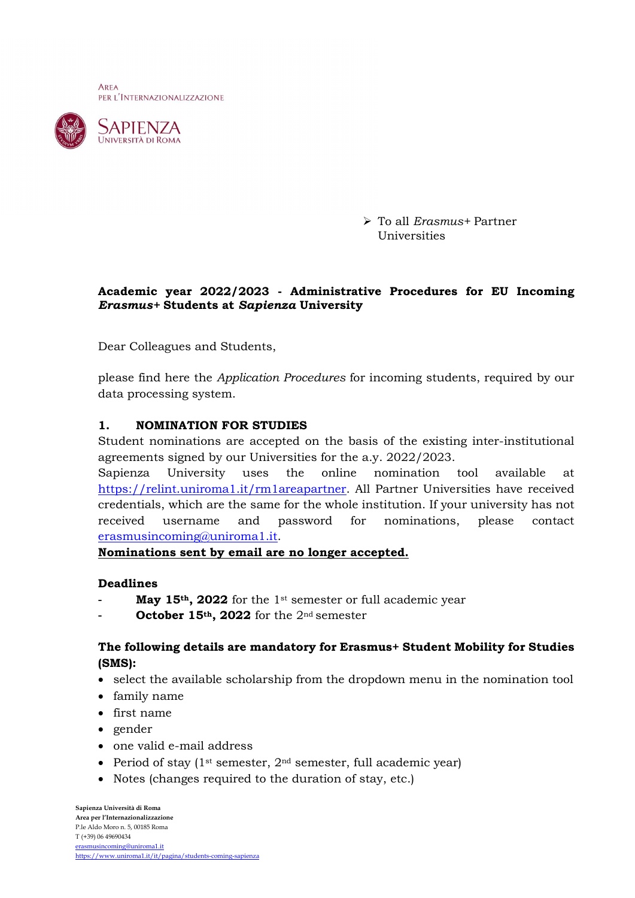

 To all Erasmus+ Partner Universities

## Academic year 2022/2023 - Administrative Procedures for EU Incoming Erasmus+ Students at Sapienza University

Dear Colleagues and Students,

please find here the Application Procedures for incoming students, required by our data processing system.

#### 1. NOMINATION FOR STUDIES

Student nominations are accepted on the basis of the existing inter-institutional agreements signed by our Universities for the a.y. 2022/2023.

Sapienza University uses the online nomination tool available at https://relint.uniroma1.it/rm1areapartner. All Partner Universities have received credentials, which are the same for the whole institution. If your university has not received username and password for nominations, please contact erasmusincoming@uniroma1.it.

Nominations sent by email are no longer accepted.

#### Deadlines

- May 15<sup>th</sup>, 2022 for the 1<sup>st</sup> semester or full academic year
- October 15<sup>th</sup>, 2022 for the 2<sup>nd</sup> semester

## The following details are mandatory for Erasmus+ Student Mobility for Studies (SMS):

- select the available scholarship from the dropdown menu in the nomination tool
- family name
- first name
- gender
- one valid e-mail address
- Period of stay  $(1^{st}$  semester,  $2^{nd}$  semester, full academic year)
- Notes (changes required to the duration of stay, etc.)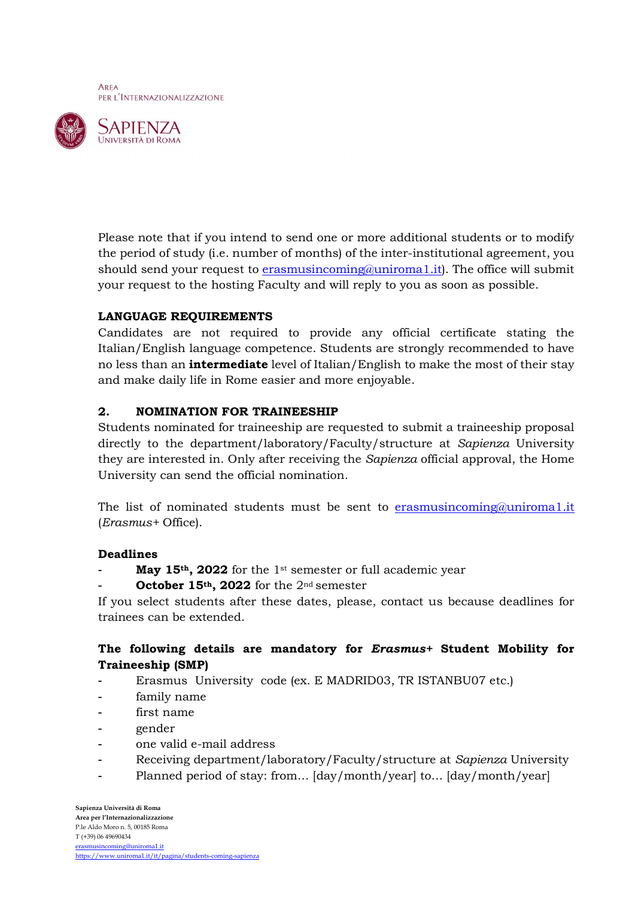

Please note that if you intend to send one or more additional students or to modify the period of study (i.e. number of months) of the inter-institutional agreement, you should send your request to  $\frac{erasmusioning@union1.it}$ . The office will submit your request to the hosting Faculty and will reply to you as soon as possible.

## LANGUAGE REQUIREMENTS

Candidates are not required to provide any official certificate stating the Italian/English language competence. Students are strongly recommended to have no less than an **intermediate** level of Italian/English to make the most of their stay and make daily life in Rome easier and more enjoyable.

## 2. NOMINATION FOR TRAINEESHIP

Students nominated for traineeship are requested to submit a traineeship proposal directly to the department/laboratory/Faculty/structure at Sapienza University they are interested in. Only after receiving the Sapienza official approval, the Home University can send the official nomination.

The list of nominated students must be sent to erasmusincoming@uniroma1.it (Erasmus+ Office).

#### Deadlines

May 15<sup>th</sup>, 2022 for the 1<sup>st</sup> semester or full academic year

October 15<sup>th</sup>, 2022 for the 2<sup>nd</sup> semester

If you select students after these dates, please, contact us because deadlines for trainees can be extended.

## The following details are mandatory for Erasmus+ Student Mobility for Traineeship (SMP)

- Erasmus University code (ex. E MADRID03, TR ISTANBU07 etc.)
- family name
- first name
- gender
- one valid e-mail address
- Receiving department/laboratory/Faculty/structure at Sapienza University
- Planned period of stay: from... [day/month/year] to... [day/month/year]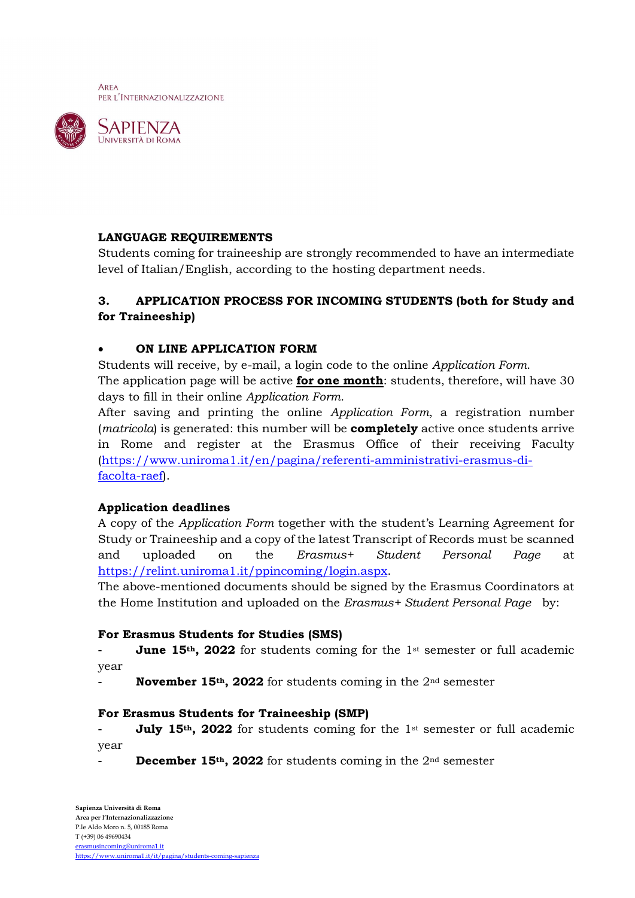

## LANGUAGE REQUIREMENTS

Students coming for traineeship are strongly recommended to have an intermediate level of Italian/English, according to the hosting department needs.

# 3. APPLICATION PROCESS FOR INCOMING STUDENTS (both for Study and for Traineeship)

## ON LINE APPLICATION FORM

Students will receive, by e-mail, a login code to the online Application Form. The application page will be active for one month: students, therefore, will have 30 days to fill in their online Application Form.

After saving and printing the online Application Form, a registration number (*matricola*) is generated: this number will be **completely** active once students arrive in Rome and register at the Erasmus Office of their receiving Faculty (https://www.uniroma1.it/en/pagina/referenti-amministrativi-erasmus-difacolta-raef).

## Application deadlines

A copy of the Application Form together with the student's Learning Agreement for Study or Traineeship and a copy of the latest Transcript of Records must be scanned and uploaded on the Erasmus+ Student Personal Page at https://relint.uniroma1.it/ppincoming/login.aspx.

The above-mentioned documents should be signed by the Erasmus Coordinators at the Home Institution and uploaded on the Erasmus+ Student Personal Page by:

#### For Erasmus Students for Studies (SMS)

**June 15th, 2022** for students coming for the 1<sup>st</sup> semester or full academic year

November 15<sup>th</sup>, 2022 for students coming in the 2<sup>nd</sup> semester

#### For Erasmus Students for Traineeship (SMP)

July 15<sup>th</sup>, 2022 for students coming for the 1<sup>st</sup> semester or full academic year

December 15<sup>th</sup>, 2022 for students coming in the 2<sup>nd</sup> semester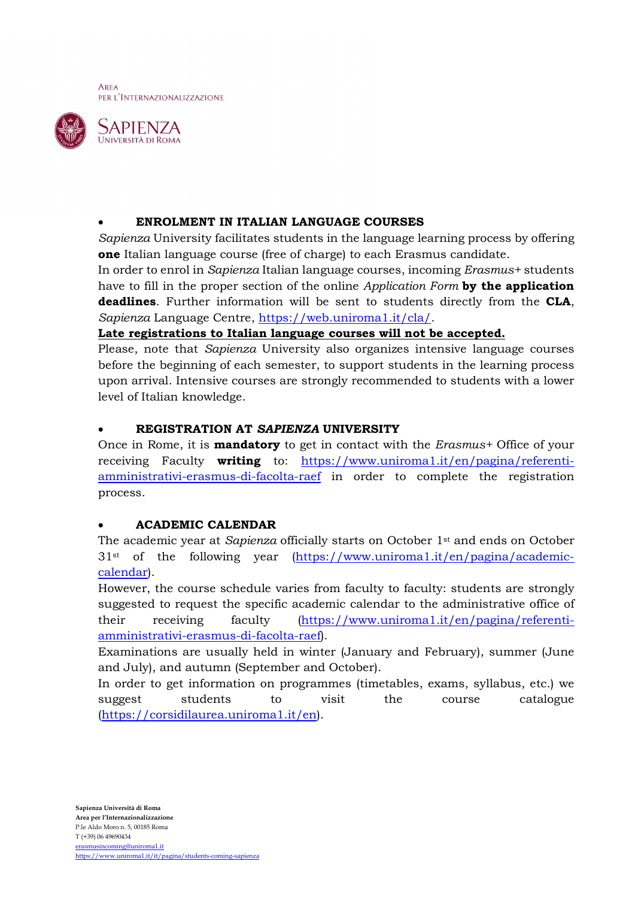

## ENROLMENT IN ITALIAN LANGUAGE COURSES

Sapienza University facilitates students in the language learning process by offering one Italian language course (free of charge) to each Erasmus candidate.

In order to enrol in Sapienza Italian language courses, incoming Erasmus+ students have to fill in the proper section of the online Application Form by the application deadlines. Further information will be sent to students directly from the CLA, Sapienza Language Centre, https://web.uniroma1.it/cla/.

#### Late registrations to Italian language courses will not be accepted.

Please, note that Sapienza University also organizes intensive language courses before the beginning of each semester, to support students in the learning process upon arrival. Intensive courses are strongly recommended to students with a lower level of Italian knowledge.

## REGISTRATION AT SAPIENZA UNIVERSITY

Once in Rome, it is **mandatory** to get in contact with the *Erasmus* + Office of your receiving Faculty **writing** to: https://www.uniroma1.it/en/pagina/referentiamministrativi-erasmus-di-facolta-raef in order to complete the registration process.

## ACADEMIC CALENDAR

The academic year at Sapienza officially starts on October 1st and ends on October 31st of the following year (https://www.uniroma1.it/en/pagina/academiccalendar).

However, the course schedule varies from faculty to faculty: students are strongly suggested to request the specific academic calendar to the administrative office of their receiving faculty (https://www.uniroma1.it/en/pagina/referentiamministrativi-erasmus-di-facolta-raef).

Examinations are usually held in winter (January and February), summer (June and July), and autumn (September and October).

In order to get information on programmes (timetables, exams, syllabus, etc.) we suggest students to visit the course catalogue (https://corsidilaurea.uniroma1.it/en).